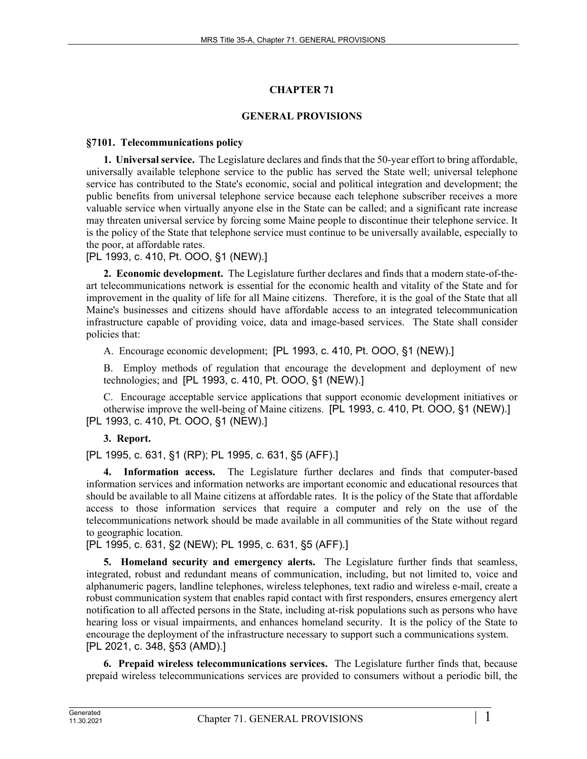# **CHAPTER 71**

# **GENERAL PROVISIONS**

# **§7101. Telecommunications policy**

**1. Universal service.** The Legislature declares and finds that the 50-year effort to bring affordable, universally available telephone service to the public has served the State well; universal telephone service has contributed to the State's economic, social and political integration and development; the public benefits from universal telephone service because each telephone subscriber receives a more valuable service when virtually anyone else in the State can be called; and a significant rate increase may threaten universal service by forcing some Maine people to discontinue their telephone service. It is the policy of the State that telephone service must continue to be universally available, especially to the poor, at affordable rates.

[PL 1993, c. 410, Pt. OOO, §1 (NEW).]

**2. Economic development.** The Legislature further declares and finds that a modern state-of-theart telecommunications network is essential for the economic health and vitality of the State and for improvement in the quality of life for all Maine citizens. Therefore, it is the goal of the State that all Maine's businesses and citizens should have affordable access to an integrated telecommunication infrastructure capable of providing voice, data and image-based services. The State shall consider policies that:

A. Encourage economic development; [PL 1993, c. 410, Pt. OOO, §1 (NEW).]

B. Employ methods of regulation that encourage the development and deployment of new technologies; and [PL 1993, c. 410, Pt. OOO, §1 (NEW).]

C. Encourage acceptable service applications that support economic development initiatives or otherwise improve the well-being of Maine citizens. [PL 1993, c. 410, Pt. OOO, §1 (NEW).] [PL 1993, c. 410, Pt. OOO, §1 (NEW).]

# **3. Report.**

[PL 1995, c. 631, §1 (RP); PL 1995, c. 631, §5 (AFF).]

**4. Information access.** The Legislature further declares and finds that computer-based information services and information networks are important economic and educational resources that should be available to all Maine citizens at affordable rates. It is the policy of the State that affordable access to those information services that require a computer and rely on the use of the telecommunications network should be made available in all communities of the State without regard to geographic location.

[PL 1995, c. 631, §2 (NEW); PL 1995, c. 631, §5 (AFF).]

**5. Homeland security and emergency alerts.** The Legislature further finds that seamless, integrated, robust and redundant means of communication, including, but not limited to, voice and alphanumeric pagers, landline telephones, wireless telephones, text radio and wireless e-mail, create a robust communication system that enables rapid contact with first responders, ensures emergency alert notification to all affected persons in the State, including at-risk populations such as persons who have hearing loss or visual impairments, and enhances homeland security. It is the policy of the State to encourage the deployment of the infrastructure necessary to support such a communications system. [PL 2021, c. 348, §53 (AMD).]

**6. Prepaid wireless telecommunications services.** The Legislature further finds that, because prepaid wireless telecommunications services are provided to consumers without a periodic bill, the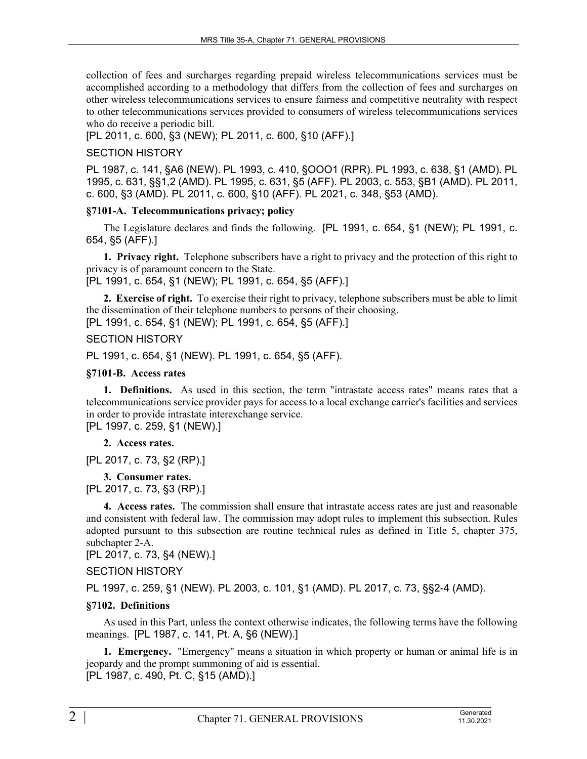collection of fees and surcharges regarding prepaid wireless telecommunications services must be accomplished according to a methodology that differs from the collection of fees and surcharges on other wireless telecommunications services to ensure fairness and competitive neutrality with respect to other telecommunications services provided to consumers of wireless telecommunications services who do receive a periodic bill.

[PL 2011, c. 600, §3 (NEW); PL 2011, c. 600, §10 (AFF).]

# SECTION HISTORY

PL 1987, c. 141, §A6 (NEW). PL 1993, c. 410, §OOO1 (RPR). PL 1993, c. 638, §1 (AMD). PL 1995, c. 631, §§1,2 (AMD). PL 1995, c. 631, §5 (AFF). PL 2003, c. 553, §B1 (AMD). PL 2011, c. 600, §3 (AMD). PL 2011, c. 600, §10 (AFF). PL 2021, c. 348, §53 (AMD).

### **§7101-A. Telecommunications privacy; policy**

The Legislature declares and finds the following. [PL 1991, c. 654, §1 (NEW); PL 1991, c. 654, §5 (AFF).]

**1. Privacy right.** Telephone subscribers have a right to privacy and the protection of this right to privacy is of paramount concern to the State.

[PL 1991, c. 654, §1 (NEW); PL 1991, c. 654, §5 (AFF).]

**2. Exercise of right.** To exercise their right to privacy, telephone subscribers must be able to limit the dissemination of their telephone numbers to persons of their choosing.

[PL 1991, c. 654, §1 (NEW); PL 1991, c. 654, §5 (AFF).]

# SECTION HISTORY

PL 1991, c. 654, §1 (NEW). PL 1991, c. 654, §5 (AFF).

### **§7101-B. Access rates**

**1. Definitions.** As used in this section, the term "intrastate access rates" means rates that a telecommunications service provider pays for access to a local exchange carrier's facilities and services in order to provide intrastate interexchange service.

[PL 1997, c. 259, §1 (NEW).]

**2. Access rates.** 

[PL 2017, c. 73, §2 (RP).]

**3. Consumer rates.** 

[PL 2017, c. 73, §3 (RP).]

**4. Access rates.** The commission shall ensure that intrastate access rates are just and reasonable and consistent with federal law. The commission may adopt rules to implement this subsection. Rules adopted pursuant to this subsection are routine technical rules as defined in Title 5, chapter 375, subchapter 2-A.

[PL 2017, c. 73, §4 (NEW).]

SECTION HISTORY

PL 1997, c. 259, §1 (NEW). PL 2003, c. 101, §1 (AMD). PL 2017, c. 73, §§2-4 (AMD).

### **§7102. Definitions**

As used in this Part, unless the context otherwise indicates, the following terms have the following meanings. [PL 1987, c. 141, Pt. A, §6 (NEW).]

**1. Emergency.** "Emergency" means a situation in which property or human or animal life is in jeopardy and the prompt summoning of aid is essential. [PL 1987, c. 490, Pt. C, §15 (AMD).]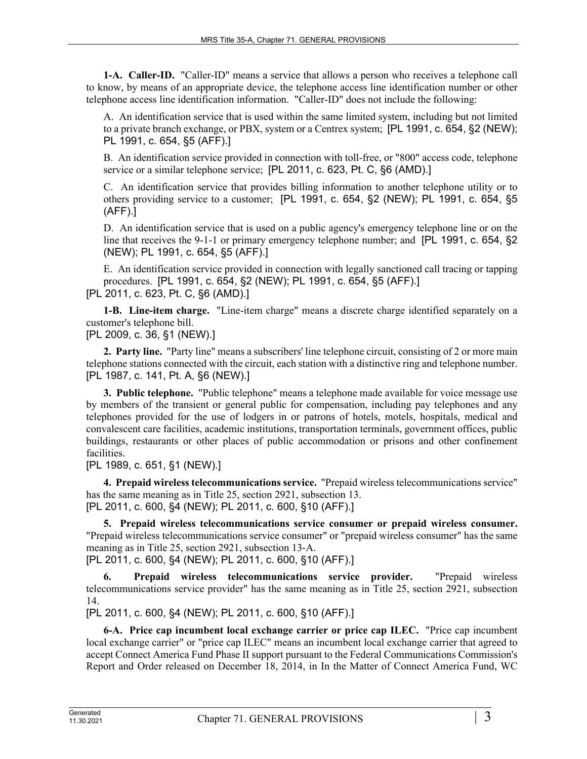**1-A. Caller-ID.** "Caller-ID" means a service that allows a person who receives a telephone call to know, by means of an appropriate device, the telephone access line identification number or other telephone access line identification information. "Caller-ID" does not include the following:

A. An identification service that is used within the same limited system, including but not limited to a private branch exchange, or PBX, system or a Centrex system; [PL 1991, c. 654, §2 (NEW); PL 1991, c. 654, §5 (AFF).]

B. An identification service provided in connection with toll-free, or "800" access code, telephone service or a similar telephone service; [PL 2011, c. 623, Pt. C, §6 (AMD).]

C. An identification service that provides billing information to another telephone utility or to others providing service to a customer; [PL 1991, c. 654, §2 (NEW); PL 1991, c. 654, §5 (AFF).]

D. An identification service that is used on a public agency's emergency telephone line or on the line that receives the 9-1-1 or primary emergency telephone number; and [PL 1991, c. 654, §2 (NEW); PL 1991, c. 654, §5 (AFF).]

E. An identification service provided in connection with legally sanctioned call tracing or tapping procedures. [PL 1991, c. 654, §2 (NEW); PL 1991, c. 654, §5 (AFF).] [PL 2011, c. 623, Pt. C, §6 (AMD).]

**1-B. Line-item charge.** "Line-item charge" means a discrete charge identified separately on a customer's telephone bill.

[PL 2009, c. 36, §1 (NEW).]

**2. Party line.** "Party line" means a subscribers' line telephone circuit, consisting of 2 or more main telephone stations connected with the circuit, each station with a distinctive ring and telephone number. [PL 1987, c. 141, Pt. A, §6 (NEW).]

**3. Public telephone.** "Public telephone" means a telephone made available for voice message use by members of the transient or general public for compensation, including pay telephones and any telephones provided for the use of lodgers in or patrons of hotels, motels, hospitals, medical and convalescent care facilities, academic institutions, transportation terminals, government offices, public buildings, restaurants or other places of public accommodation or prisons and other confinement facilities.

[PL 1989, c. 651, §1 (NEW).]

**4. Prepaid wireless telecommunications service.** "Prepaid wireless telecommunications service" has the same meaning as in Title 25, section 2921, subsection 13. [PL 2011, c. 600, §4 (NEW); PL 2011, c. 600, §10 (AFF).]

**5. Prepaid wireless telecommunications service consumer or prepaid wireless consumer.**  "Prepaid wireless telecommunications service consumer" or "prepaid wireless consumer" has the same meaning as in Title 25, section 2921, subsection 13‑A. [PL 2011, c. 600, §4 (NEW); PL 2011, c. 600, §10 (AFF).]

**6. Prepaid wireless telecommunications service provider.** "Prepaid wireless telecommunications service provider" has the same meaning as in Title 25, section 2921, subsection 14.

[PL 2011, c. 600, §4 (NEW); PL 2011, c. 600, §10 (AFF).]

**6-A. Price cap incumbent local exchange carrier or price cap ILEC.** "Price cap incumbent local exchange carrier" or "price cap ILEC" means an incumbent local exchange carrier that agreed to accept Connect America Fund Phase II support pursuant to the Federal Communications Commission's Report and Order released on December 18, 2014, in In the Matter of Connect America Fund, WC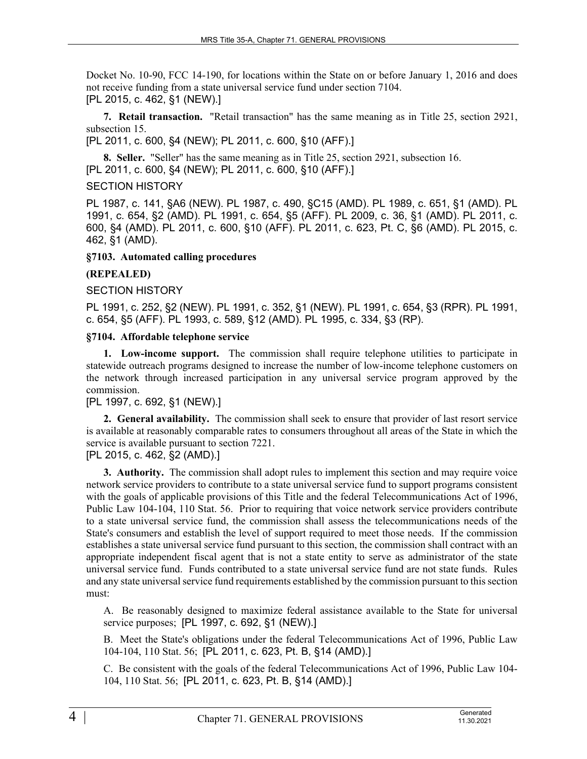Docket No. 10-90, FCC 14-190, for locations within the State on or before January 1, 2016 and does not receive funding from a state universal service fund under section 7104. [PL 2015, c. 462, §1 (NEW).]

**7. Retail transaction.** "Retail transaction" has the same meaning as in Title 25, section 2921, subsection 15.

[PL 2011, c. 600, §4 (NEW); PL 2011, c. 600, §10 (AFF).]

**8. Seller.** "Seller" has the same meaning as in Title 25, section 2921, subsection 16. [PL 2011, c. 600, §4 (NEW); PL 2011, c. 600, §10 (AFF).]

### SECTION HISTORY

PL 1987, c. 141, §A6 (NEW). PL 1987, c. 490, §C15 (AMD). PL 1989, c. 651, §1 (AMD). PL 1991, c. 654, §2 (AMD). PL 1991, c. 654, §5 (AFF). PL 2009, c. 36, §1 (AMD). PL 2011, c. 600, §4 (AMD). PL 2011, c. 600, §10 (AFF). PL 2011, c. 623, Pt. C, §6 (AMD). PL 2015, c. 462, §1 (AMD).

#### **§7103. Automated calling procedures**

### **(REPEALED)**

### SECTION HISTORY

PL 1991, c. 252, §2 (NEW). PL 1991, c. 352, §1 (NEW). PL 1991, c. 654, §3 (RPR). PL 1991, c. 654, §5 (AFF). PL 1993, c. 589, §12 (AMD). PL 1995, c. 334, §3 (RP).

#### **§7104. Affordable telephone service**

**1. Low-income support.** The commission shall require telephone utilities to participate in statewide outreach programs designed to increase the number of low-income telephone customers on the network through increased participation in any universal service program approved by the commission.

#### [PL 1997, c. 692, §1 (NEW).]

**2. General availability.** The commission shall seek to ensure that provider of last resort service is available at reasonably comparable rates to consumers throughout all areas of the State in which the service is available pursuant to section 7221.

# [PL 2015, c. 462, §2 (AMD).]

**3. Authority.** The commission shall adopt rules to implement this section and may require voice network service providers to contribute to a state universal service fund to support programs consistent with the goals of applicable provisions of this Title and the federal Telecommunications Act of 1996, Public Law 104-104, 110 Stat. 56. Prior to requiring that voice network service providers contribute to a state universal service fund, the commission shall assess the telecommunications needs of the State's consumers and establish the level of support required to meet those needs. If the commission establishes a state universal service fund pursuant to this section, the commission shall contract with an appropriate independent fiscal agent that is not a state entity to serve as administrator of the state universal service fund. Funds contributed to a state universal service fund are not state funds. Rules and any state universal service fund requirements established by the commission pursuant to this section must:

A. Be reasonably designed to maximize federal assistance available to the State for universal service purposes; [PL 1997, c. 692, §1 (NEW).]

B. Meet the State's obligations under the federal Telecommunications Act of 1996, Public Law 104-104, 110 Stat. 56; [PL 2011, c. 623, Pt. B, §14 (AMD).]

C. Be consistent with the goals of the federal Telecommunications Act of 1996, Public Law 104- 104, 110 Stat. 56; [PL 2011, c. 623, Pt. B, §14 (AMD).]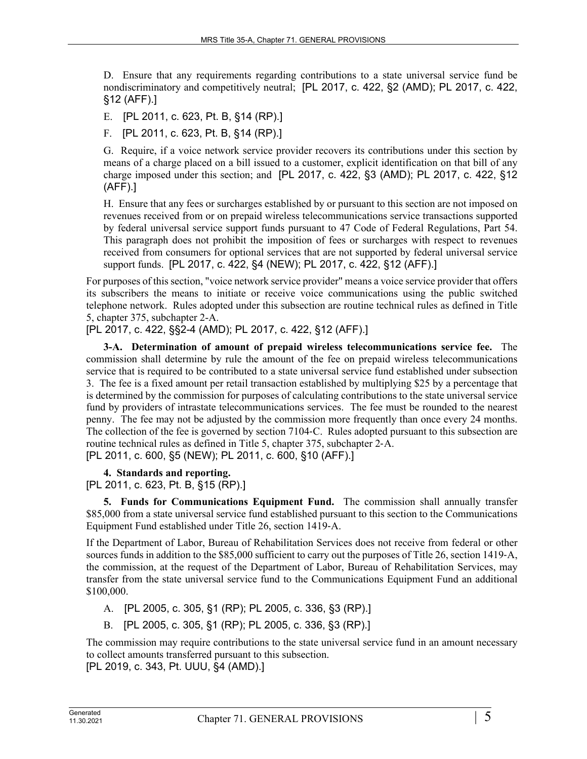D. Ensure that any requirements regarding contributions to a state universal service fund be nondiscriminatory and competitively neutral; [PL 2017, c. 422, §2 (AMD); PL 2017, c. 422, §12 (AFF).]

E. [PL 2011, c. 623, Pt. B, §14 (RP).]

F. [PL 2011, c. 623, Pt. B, §14 (RP).]

G. Require, if a voice network service provider recovers its contributions under this section by means of a charge placed on a bill issued to a customer, explicit identification on that bill of any charge imposed under this section; and [PL 2017, c. 422, §3 (AMD); PL 2017, c. 422, §12 (AFF).]

H. Ensure that any fees or surcharges established by or pursuant to this section are not imposed on revenues received from or on prepaid wireless telecommunications service transactions supported by federal universal service support funds pursuant to 47 Code of Federal Regulations, Part 54. This paragraph does not prohibit the imposition of fees or surcharges with respect to revenues received from consumers for optional services that are not supported by federal universal service support funds. [PL 2017, c. 422, §4 (NEW); PL 2017, c. 422, §12 (AFF).]

For purposes of this section, "voice network service provider" means a voice service provider that offers its subscribers the means to initiate or receive voice communications using the public switched telephone network. Rules adopted under this subsection are routine technical rules as defined in Title 5, chapter 375, subchapter 2-A.

[PL 2017, c. 422, §§2-4 (AMD); PL 2017, c. 422, §12 (AFF).]

**3-A. Determination of amount of prepaid wireless telecommunications service fee.** The commission shall determine by rule the amount of the fee on prepaid wireless telecommunications service that is required to be contributed to a state universal service fund established under subsection 3. The fee is a fixed amount per retail transaction established by multiplying \$25 by a percentage that is determined by the commission for purposes of calculating contributions to the state universal service fund by providers of intrastate telecommunications services. The fee must be rounded to the nearest penny. The fee may not be adjusted by the commission more frequently than once every 24 months. The collection of the fee is governed by section 7104‑C. Rules adopted pursuant to this subsection are routine technical rules as defined in Title 5, chapter 375, subchapter 2‑A. [PL 2011, c. 600, §5 (NEW); PL 2011, c. 600, §10 (AFF).]

**4. Standards and reporting.** 

[PL 2011, c. 623, Pt. B, §15 (RP).]

**5. Funds for Communications Equipment Fund.** The commission shall annually transfer \$85,000 from a state universal service fund established pursuant to this section to the Communications Equipment Fund established under Title 26, section 1419‑A.

If the Department of Labor, Bureau of Rehabilitation Services does not receive from federal or other sources funds in addition to the \$85,000 sufficient to carry out the purposes of Title 26, section 1419-A, the commission, at the request of the Department of Labor, Bureau of Rehabilitation Services, may transfer from the state universal service fund to the Communications Equipment Fund an additional \$100,000.

A. [PL 2005, c. 305, §1 (RP); PL 2005, c. 336, §3 (RP).]

B. [PL 2005, c. 305, §1 (RP); PL 2005, c. 336, §3 (RP).]

The commission may require contributions to the state universal service fund in an amount necessary to collect amounts transferred pursuant to this subsection.

[PL 2019, c. 343, Pt. UUU, §4 (AMD).]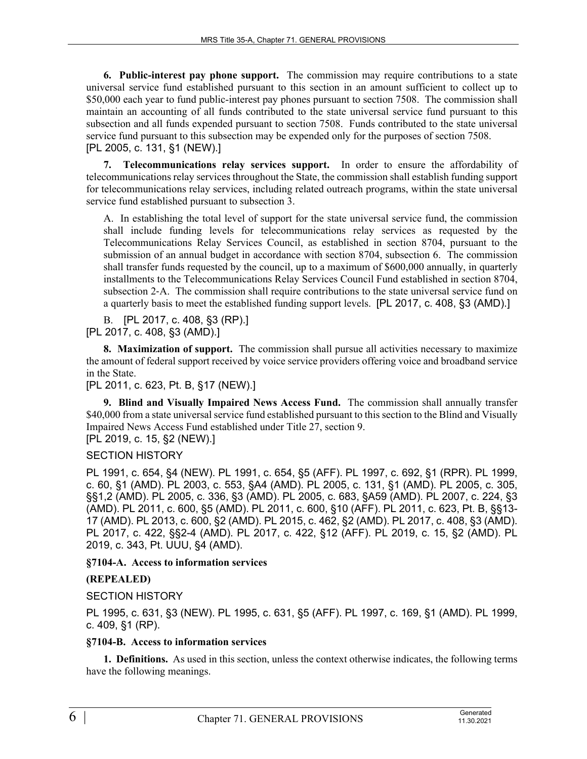**6. Public-interest pay phone support.** The commission may require contributions to a state universal service fund established pursuant to this section in an amount sufficient to collect up to \$50,000 each year to fund public-interest pay phones pursuant to section 7508. The commission shall maintain an accounting of all funds contributed to the state universal service fund pursuant to this subsection and all funds expended pursuant to section 7508. Funds contributed to the state universal service fund pursuant to this subsection may be expended only for the purposes of section 7508. [PL 2005, c. 131, §1 (NEW).]

**7. Telecommunications relay services support.** In order to ensure the affordability of telecommunications relay services throughout the State, the commission shall establish funding support for telecommunications relay services, including related outreach programs, within the state universal service fund established pursuant to subsection 3.

A. In establishing the total level of support for the state universal service fund, the commission shall include funding levels for telecommunications relay services as requested by the Telecommunications Relay Services Council, as established in section 8704, pursuant to the submission of an annual budget in accordance with section 8704, subsection 6. The commission shall transfer funds requested by the council, up to a maximum of \$600,000 annually, in quarterly installments to the Telecommunications Relay Services Council Fund established in section 8704, subsection 2–A. The commission shall require contributions to the state universal service fund on a quarterly basis to meet the established funding support levels. [PL 2017, c. 408, §3 (AMD).]

B. [PL 2017, c. 408, §3 (RP).] [PL 2017, c. 408, §3 (AMD).]

**8. Maximization of support.** The commission shall pursue all activities necessary to maximize the amount of federal support received by voice service providers offering voice and broadband service in the State.

[PL 2011, c. 623, Pt. B, §17 (NEW).]

**9. Blind and Visually Impaired News Access Fund.** The commission shall annually transfer \$40,000 from a state universal service fund established pursuant to this section to the Blind and Visually Impaired News Access Fund established under Title 27, section 9.

[PL 2019, c. 15, §2 (NEW).]

#### SECTION HISTORY

PL 1991, c. 654, §4 (NEW). PL 1991, c. 654, §5 (AFF). PL 1997, c. 692, §1 (RPR). PL 1999, c. 60, §1 (AMD). PL 2003, c. 553, §A4 (AMD). PL 2005, c. 131, §1 (AMD). PL 2005, c. 305, §§1,2 (AMD). PL 2005, c. 336, §3 (AMD). PL 2005, c. 683, §A59 (AMD). PL 2007, c. 224, §3 (AMD). PL 2011, c. 600, §5 (AMD). PL 2011, c. 600, §10 (AFF). PL 2011, c. 623, Pt. B, §§13- 17 (AMD). PL 2013, c. 600, §2 (AMD). PL 2015, c. 462, §2 (AMD). PL 2017, c. 408, §3 (AMD). PL 2017, c. 422, §§2-4 (AMD). PL 2017, c. 422, §12 (AFF). PL 2019, c. 15, §2 (AMD). PL 2019, c. 343, Pt. UUU, §4 (AMD).

#### **§7104-A. Access to information services**

### **(REPEALED)**

#### SECTION HISTORY

PL 1995, c. 631, §3 (NEW). PL 1995, c. 631, §5 (AFF). PL 1997, c. 169, §1 (AMD). PL 1999, c. 409, §1 (RP).

#### **§7104-B. Access to information services**

**1. Definitions.** As used in this section, unless the context otherwise indicates, the following terms have the following meanings.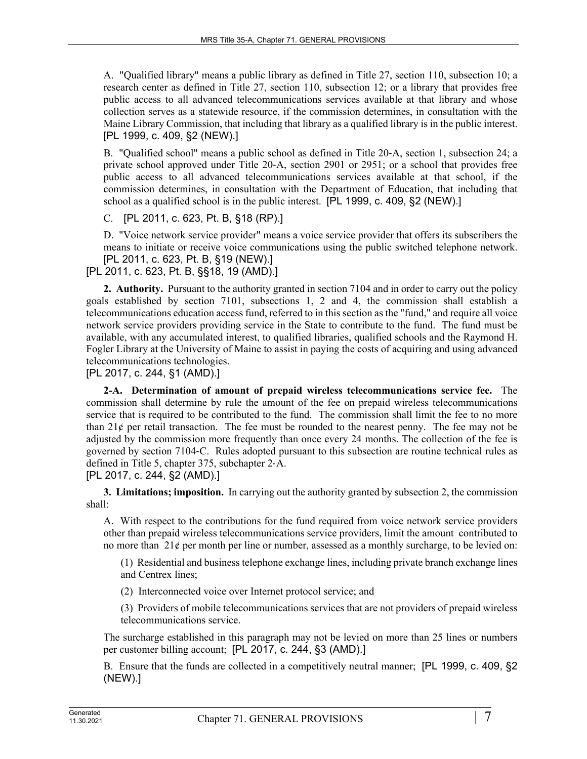A. "Qualified library" means a public library as defined in Title 27, section 110, subsection 10; a research center as defined in Title 27, section 110, subsection 12; or a library that provides free public access to all advanced telecommunications services available at that library and whose collection serves as a statewide resource, if the commission determines, in consultation with the Maine Library Commission, that including that library as a qualified library is in the public interest. [PL 1999, c. 409, §2 (NEW).]

B. "Qualified school" means a public school as defined in Title 20‑A, section 1, subsection 24; a private school approved under Title 20‑A, section 2901 or 2951; or a school that provides free public access to all advanced telecommunications services available at that school, if the commission determines, in consultation with the Department of Education, that including that school as a qualified school is in the public interest. [PL 1999, c. 409, §2 (NEW).]

C. [PL 2011, c. 623, Pt. B, §18 (RP).]

D. "Voice network service provider" means a voice service provider that offers its subscribers the means to initiate or receive voice communications using the public switched telephone network. [PL 2011, c. 623, Pt. B, §19 (NEW).]

[PL 2011, c. 623, Pt. B, §§18, 19 (AMD).]

**2. Authority.** Pursuant to the authority granted in section 7104 and in order to carry out the policy goals established by section 7101, subsections 1, 2 and 4, the commission shall establish a telecommunications education access fund, referred to in this section as the "fund," and require all voice network service providers providing service in the State to contribute to the fund. The fund must be available, with any accumulated interest, to qualified libraries, qualified schools and the Raymond H. Fogler Library at the University of Maine to assist in paying the costs of acquiring and using advanced telecommunications technologies.

[PL 2017, c. 244, §1 (AMD).]

**2-A. Determination of amount of prepaid wireless telecommunications service fee.** The commission shall determine by rule the amount of the fee on prepaid wireless telecommunications service that is required to be contributed to the fund. The commission shall limit the fee to no more than  $21¢$  per retail transaction. The fee must be rounded to the nearest penny. The fee may not be adjusted by the commission more frequently than once every 24 months. The collection of the fee is governed by section 7104‑C. Rules adopted pursuant to this subsection are routine technical rules as defined in Title 5, chapter 375, subchapter 2‑A. [PL 2017, c. 244, §2 (AMD).]

**3. Limitations; imposition.** In carrying out the authority granted by subsection 2, the commission shall:

A. With respect to the contributions for the fund required from voice network service providers other than prepaid wireless telecommunications service providers, limit the amount contributed to no more than  $21¢$  per month per line or number, assessed as a monthly surcharge, to be levied on:

(1) Residential and business telephone exchange lines, including private branch exchange lines and Centrex lines;

(2) Interconnected voice over Internet protocol service; and

(3) Providers of mobile telecommunications services that are not providers of prepaid wireless telecommunications service.

The surcharge established in this paragraph may not be levied on more than 25 lines or numbers per customer billing account; [PL 2017, c. 244, §3 (AMD).]

B. Ensure that the funds are collected in a competitively neutral manner; [PL 1999, c. 409, §2 (NEW).]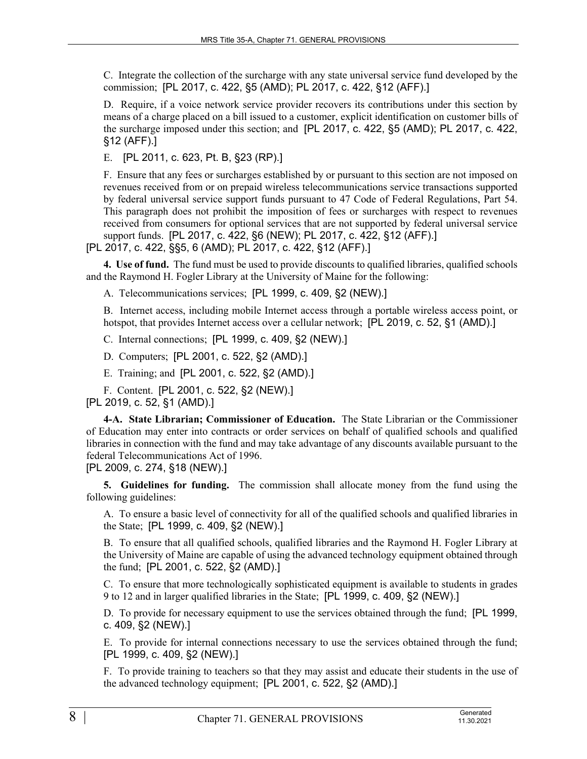C. Integrate the collection of the surcharge with any state universal service fund developed by the commission; [PL 2017, c. 422, §5 (AMD); PL 2017, c. 422, §12 (AFF).]

D. Require, if a voice network service provider recovers its contributions under this section by means of a charge placed on a bill issued to a customer, explicit identification on customer bills of the surcharge imposed under this section; and [PL 2017, c. 422, §5 (AMD); PL 2017, c. 422, §12 (AFF).]

E. [PL 2011, c. 623, Pt. B, §23 (RP).]

F. Ensure that any fees or surcharges established by or pursuant to this section are not imposed on revenues received from or on prepaid wireless telecommunications service transactions supported by federal universal service support funds pursuant to 47 Code of Federal Regulations, Part 54. This paragraph does not prohibit the imposition of fees or surcharges with respect to revenues received from consumers for optional services that are not supported by federal universal service support funds. [PL 2017, c. 422, §6 (NEW); PL 2017, c. 422, §12 (AFF).]

[PL 2017, c. 422, §§5, 6 (AMD); PL 2017, c. 422, §12 (AFF).]

**4. Use of fund.** The fund must be used to provide discounts to qualified libraries, qualified schools and the Raymond H. Fogler Library at the University of Maine for the following:

A. Telecommunications services; [PL 1999, c. 409, §2 (NEW).]

B. Internet access, including mobile Internet access through a portable wireless access point, or hotspot, that provides Internet access over a cellular network; [PL 2019, c. 52, §1 (AMD).]

C. Internal connections; [PL 1999, c. 409, §2 (NEW).]

D. Computers; [PL 2001, c. 522, §2 (AMD).]

E. Training; and [PL 2001, c. 522, §2 (AMD).]

F. Content. [PL 2001, c. 522, §2 (NEW).]

[PL 2019, c. 52, §1 (AMD).]

**4-A. State Librarian; Commissioner of Education.** The State Librarian or the Commissioner of Education may enter into contracts or order services on behalf of qualified schools and qualified libraries in connection with the fund and may take advantage of any discounts available pursuant to the federal Telecommunications Act of 1996.

[PL 2009, c. 274, §18 (NEW).]

**5. Guidelines for funding.** The commission shall allocate money from the fund using the following guidelines:

A. To ensure a basic level of connectivity for all of the qualified schools and qualified libraries in the State; [PL 1999, c. 409, §2 (NEW).]

B. To ensure that all qualified schools, qualified libraries and the Raymond H. Fogler Library at the University of Maine are capable of using the advanced technology equipment obtained through the fund; [PL 2001, c. 522, §2 (AMD).]

C. To ensure that more technologically sophisticated equipment is available to students in grades 9 to 12 and in larger qualified libraries in the State; [PL 1999, c. 409, §2 (NEW).]

D. To provide for necessary equipment to use the services obtained through the fund; [PL 1999, c. 409, §2 (NEW).]

E. To provide for internal connections necessary to use the services obtained through the fund; [PL 1999, c. 409, §2 (NEW).]

F. To provide training to teachers so that they may assist and educate their students in the use of the advanced technology equipment; [PL 2001, c. 522, §2 (AMD).]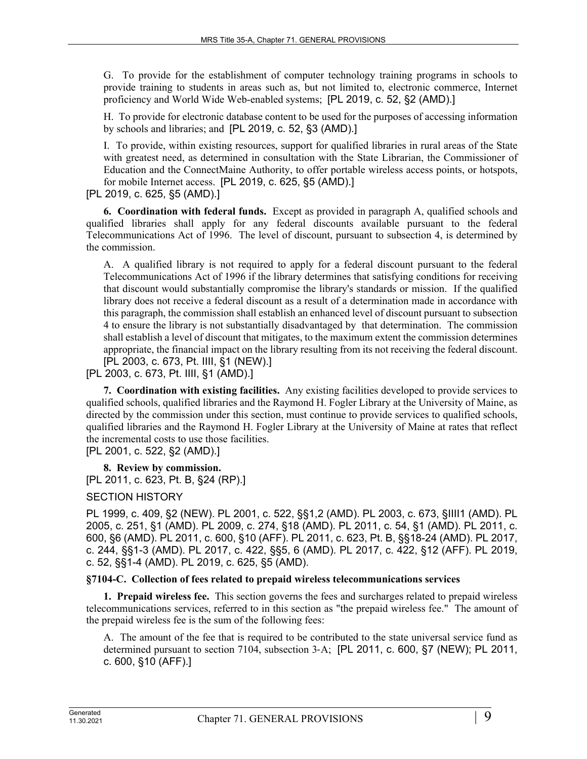G. To provide for the establishment of computer technology training programs in schools to provide training to students in areas such as, but not limited to, electronic commerce, Internet proficiency and World Wide Web-enabled systems; [PL 2019, c. 52, §2 (AMD).]

H. To provide for electronic database content to be used for the purposes of accessing information by schools and libraries; and [PL 2019, c. 52, §3 (AMD).]

I. To provide, within existing resources, support for qualified libraries in rural areas of the State with greatest need, as determined in consultation with the State Librarian, the Commissioner of Education and the ConnectMaine Authority, to offer portable wireless access points, or hotspots, for mobile Internet access. [PL 2019, c. 625, §5 (AMD).]

[PL 2019, c. 625, §5 (AMD).]

**6. Coordination with federal funds.** Except as provided in paragraph A, qualified schools and qualified libraries shall apply for any federal discounts available pursuant to the federal Telecommunications Act of 1996. The level of discount, pursuant to subsection 4, is determined by the commission.

A. A qualified library is not required to apply for a federal discount pursuant to the federal Telecommunications Act of 1996 if the library determines that satisfying conditions for receiving that discount would substantially compromise the library's standards or mission. If the qualified library does not receive a federal discount as a result of a determination made in accordance with this paragraph, the commission shall establish an enhanced level of discount pursuant to subsection 4 to ensure the library is not substantially disadvantaged by that determination. The commission shall establish a level of discount that mitigates, to the maximum extent the commission determines appropriate, the financial impact on the library resulting from its not receiving the federal discount. [PL 2003, c. 673, Pt. IIII, §1 (NEW).]

[PL 2003, c. 673, Pt. IIII, §1 (AMD).]

**7. Coordination with existing facilities.** Any existing facilities developed to provide services to qualified schools, qualified libraries and the Raymond H. Fogler Library at the University of Maine, as directed by the commission under this section, must continue to provide services to qualified schools, qualified libraries and the Raymond H. Fogler Library at the University of Maine at rates that reflect the incremental costs to use those facilities.

[PL 2001, c. 522, §2 (AMD).]

**8. Review by commission.** 

[PL 2011, c. 623, Pt. B, §24 (RP).]

### SECTION HISTORY

PL 1999, c. 409, §2 (NEW). PL 2001, c. 522, §§1,2 (AMD). PL 2003, c. 673, §IIII1 (AMD). PL 2005, c. 251, §1 (AMD). PL 2009, c. 274, §18 (AMD). PL 2011, c. 54, §1 (AMD). PL 2011, c. 600, §6 (AMD). PL 2011, c. 600, §10 (AFF). PL 2011, c. 623, Pt. B, §§18-24 (AMD). PL 2017, c. 244, §§1-3 (AMD). PL 2017, c. 422, §§5, 6 (AMD). PL 2017, c. 422, §12 (AFF). PL 2019, c. 52, §§1-4 (AMD). PL 2019, c. 625, §5 (AMD).

### **§7104-C. Collection of fees related to prepaid wireless telecommunications services**

**1. Prepaid wireless fee.** This section governs the fees and surcharges related to prepaid wireless telecommunications services, referred to in this section as "the prepaid wireless fee." The amount of the prepaid wireless fee is the sum of the following fees:

A. The amount of the fee that is required to be contributed to the state universal service fund as determined pursuant to section 7104, subsection 3‑A; [PL 2011, c. 600, §7 (NEW); PL 2011, c. 600, §10 (AFF).]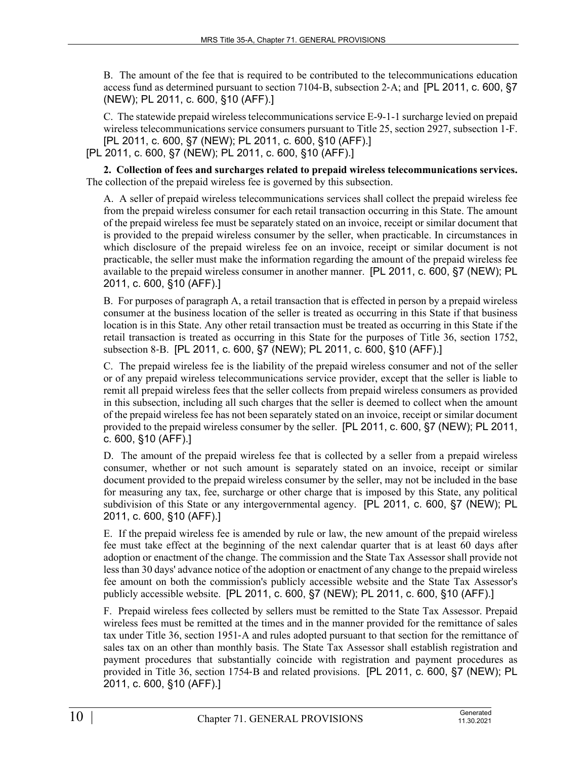B. The amount of the fee that is required to be contributed to the telecommunications education access fund as determined pursuant to section 7104‑B, subsection 2‑A; and [PL 2011, c. 600, §7 (NEW); PL 2011, c. 600, §10 (AFF).]

C. The statewide prepaid wireless telecommunications service E-9-1-1 surcharge levied on prepaid wireless telecommunications service consumers pursuant to Title 25, section 2927, subsection 1‑F. [PL 2011, c. 600, §7 (NEW); PL 2011, c. 600, §10 (AFF).]

[PL 2011, c. 600, §7 (NEW); PL 2011, c. 600, §10 (AFF).]

**2. Collection of fees and surcharges related to prepaid wireless telecommunications services.**  The collection of the prepaid wireless fee is governed by this subsection.

A. A seller of prepaid wireless telecommunications services shall collect the prepaid wireless fee from the prepaid wireless consumer for each retail transaction occurring in this State. The amount of the prepaid wireless fee must be separately stated on an invoice, receipt or similar document that is provided to the prepaid wireless consumer by the seller, when practicable. In circumstances in which disclosure of the prepaid wireless fee on an invoice, receipt or similar document is not practicable, the seller must make the information regarding the amount of the prepaid wireless fee available to the prepaid wireless consumer in another manner. [PL 2011, c. 600, §7 (NEW); PL 2011, c. 600, §10 (AFF).]

B. For purposes of paragraph A, a retail transaction that is effected in person by a prepaid wireless consumer at the business location of the seller is treated as occurring in this State if that business location is in this State. Any other retail transaction must be treated as occurring in this State if the retail transaction is treated as occurring in this State for the purposes of Title 36, section 1752, subsection 8‑B. [PL 2011, c. 600, §7 (NEW); PL 2011, c. 600, §10 (AFF).]

C. The prepaid wireless fee is the liability of the prepaid wireless consumer and not of the seller or of any prepaid wireless telecommunications service provider, except that the seller is liable to remit all prepaid wireless fees that the seller collects from prepaid wireless consumers as provided in this subsection, including all such charges that the seller is deemed to collect when the amount of the prepaid wireless fee has not been separately stated on an invoice, receipt or similar document provided to the prepaid wireless consumer by the seller. [PL 2011, c. 600, §7 (NEW); PL 2011, c. 600, §10 (AFF).]

D. The amount of the prepaid wireless fee that is collected by a seller from a prepaid wireless consumer, whether or not such amount is separately stated on an invoice, receipt or similar document provided to the prepaid wireless consumer by the seller, may not be included in the base for measuring any tax, fee, surcharge or other charge that is imposed by this State, any political subdivision of this State or any intergovernmental agency. [PL 2011, c. 600, §7 (NEW); PL 2011, c. 600, §10 (AFF).]

E. If the prepaid wireless fee is amended by rule or law, the new amount of the prepaid wireless fee must take effect at the beginning of the next calendar quarter that is at least 60 days after adoption or enactment of the change. The commission and the State Tax Assessor shall provide not less than 30 days' advance notice of the adoption or enactment of any change to the prepaid wireless fee amount on both the commission's publicly accessible website and the State Tax Assessor's publicly accessible website. [PL 2011, c. 600, §7 (NEW); PL 2011, c. 600, §10 (AFF).]

F. Prepaid wireless fees collected by sellers must be remitted to the State Tax Assessor. Prepaid wireless fees must be remitted at the times and in the manner provided for the remittance of sales tax under Title 36, section 1951‑A and rules adopted pursuant to that section for the remittance of sales tax on an other than monthly basis. The State Tax Assessor shall establish registration and payment procedures that substantially coincide with registration and payment procedures as provided in Title 36, section 1754‑B and related provisions. [PL 2011, c. 600, §7 (NEW); PL 2011, c. 600, §10 (AFF).]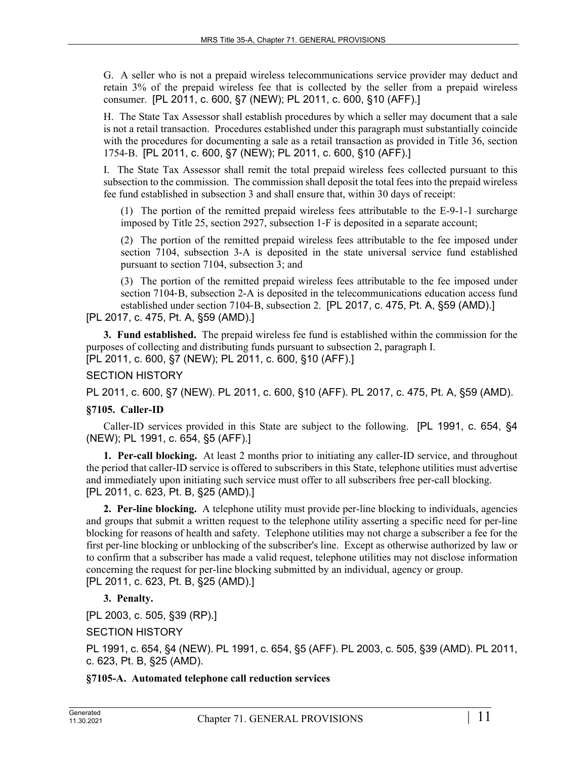G. A seller who is not a prepaid wireless telecommunications service provider may deduct and retain 3% of the prepaid wireless fee that is collected by the seller from a prepaid wireless consumer. [PL 2011, c. 600, §7 (NEW); PL 2011, c. 600, §10 (AFF).]

H. The State Tax Assessor shall establish procedures by which a seller may document that a sale is not a retail transaction. Procedures established under this paragraph must substantially coincide with the procedures for documenting a sale as a retail transaction as provided in Title 36, section 1754‑B. [PL 2011, c. 600, §7 (NEW); PL 2011, c. 600, §10 (AFF).]

I. The State Tax Assessor shall remit the total prepaid wireless fees collected pursuant to this subsection to the commission. The commission shall deposit the total fees into the prepaid wireless fee fund established in subsection 3 and shall ensure that, within 30 days of receipt:

(1) The portion of the remitted prepaid wireless fees attributable to the E-9-1-1 surcharge imposed by Title 25, section 2927, subsection 1‑F is deposited in a separate account;

(2) The portion of the remitted prepaid wireless fees attributable to the fee imposed under section 7104, subsection 3-A is deposited in the state universal service fund established pursuant to section 7104, subsection 3; and

(3) The portion of the remitted prepaid wireless fees attributable to the fee imposed under section 7104–B, subsection 2–A is deposited in the telecommunications education access fund established under section 7104‑B, subsection 2. [PL 2017, c. 475, Pt. A, §59 (AMD).]

[PL 2017, c. 475, Pt. A, §59 (AMD).]

**3. Fund established.** The prepaid wireless fee fund is established within the commission for the purposes of collecting and distributing funds pursuant to subsection 2, paragraph I. [PL 2011, c. 600, §7 (NEW); PL 2011, c. 600, §10 (AFF).]

### SECTION HISTORY

PL 2011, c. 600, §7 (NEW). PL 2011, c. 600, §10 (AFF). PL 2017, c. 475, Pt. A, §59 (AMD).

### **§7105. Caller-ID**

Caller-ID services provided in this State are subject to the following. [PL 1991, c. 654, §4 (NEW); PL 1991, c. 654, §5 (AFF).]

**1. Per-call blocking.** At least 2 months prior to initiating any caller-ID service, and throughout the period that caller-ID service is offered to subscribers in this State, telephone utilities must advertise and immediately upon initiating such service must offer to all subscribers free per-call blocking. [PL 2011, c. 623, Pt. B, §25 (AMD).]

**2. Per-line blocking.** A telephone utility must provide per-line blocking to individuals, agencies and groups that submit a written request to the telephone utility asserting a specific need for per-line blocking for reasons of health and safety. Telephone utilities may not charge a subscriber a fee for the first per-line blocking or unblocking of the subscriber's line. Except as otherwise authorized by law or to confirm that a subscriber has made a valid request, telephone utilities may not disclose information concerning the request for per-line blocking submitted by an individual, agency or group. [PL 2011, c. 623, Pt. B, §25 (AMD).]

### **3. Penalty.**

[PL 2003, c. 505, §39 (RP).]

SECTION HISTORY

PL 1991, c. 654, §4 (NEW). PL 1991, c. 654, §5 (AFF). PL 2003, c. 505, §39 (AMD). PL 2011, c. 623, Pt. B, §25 (AMD).

### **§7105-A. Automated telephone call reduction services**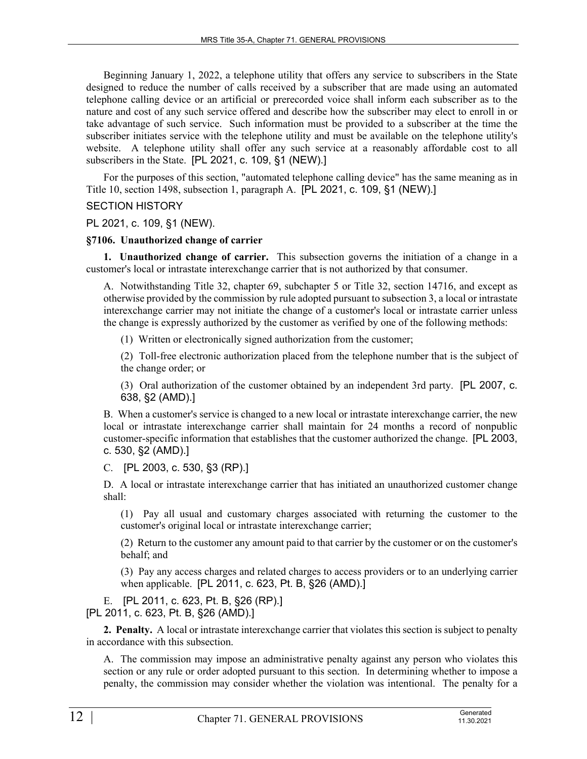Beginning January 1, 2022, a telephone utility that offers any service to subscribers in the State designed to reduce the number of calls received by a subscriber that are made using an automated telephone calling device or an artificial or prerecorded voice shall inform each subscriber as to the nature and cost of any such service offered and describe how the subscriber may elect to enroll in or take advantage of such service. Such information must be provided to a subscriber at the time the subscriber initiates service with the telephone utility and must be available on the telephone utility's website. A telephone utility shall offer any such service at a reasonably affordable cost to all subscribers in the State. [PL 2021, c. 109, §1 (NEW).]

For the purposes of this section, "automated telephone calling device" has the same meaning as in Title 10, section 1498, subsection 1, paragraph A. [PL 2021, c. 109, §1 (NEW).]

### SECTION HISTORY

#### PL 2021, c. 109, §1 (NEW).

#### **§7106. Unauthorized change of carrier**

**1. Unauthorized change of carrier.** This subsection governs the initiation of a change in a customer's local or intrastate interexchange carrier that is not authorized by that consumer.

A. Notwithstanding Title 32, chapter 69, subchapter 5 or Title 32, section 14716, and except as otherwise provided by the commission by rule adopted pursuant to subsection 3, a local or intrastate interexchange carrier may not initiate the change of a customer's local or intrastate carrier unless the change is expressly authorized by the customer as verified by one of the following methods:

(1) Written or electronically signed authorization from the customer;

(2) Toll-free electronic authorization placed from the telephone number that is the subject of the change order; or

(3) Oral authorization of the customer obtained by an independent 3rd party. [PL 2007, c. 638, §2 (AMD).]

B. When a customer's service is changed to a new local or intrastate interexchange carrier, the new local or intrastate interexchange carrier shall maintain for 24 months a record of nonpublic customer-specific information that establishes that the customer authorized the change. [PL 2003, c. 530, §2 (AMD).]

### C. [PL 2003, c. 530, §3 (RP).]

D. A local or intrastate interexchange carrier that has initiated an unauthorized customer change shall:

(1) Pay all usual and customary charges associated with returning the customer to the customer's original local or intrastate interexchange carrier;

(2) Return to the customer any amount paid to that carrier by the customer or on the customer's behalf; and

(3) Pay any access charges and related charges to access providers or to an underlying carrier when applicable. [PL 2011, c. 623, Pt. B, §26 (AMD).]

E. [PL 2011, c. 623, Pt. B, §26 (RP).] [PL 2011, c. 623, Pt. B, §26 (AMD).]

**2. Penalty.** A local or intrastate interexchange carrier that violates this section is subject to penalty in accordance with this subsection.

A. The commission may impose an administrative penalty against any person who violates this section or any rule or order adopted pursuant to this section. In determining whether to impose a penalty, the commission may consider whether the violation was intentional. The penalty for a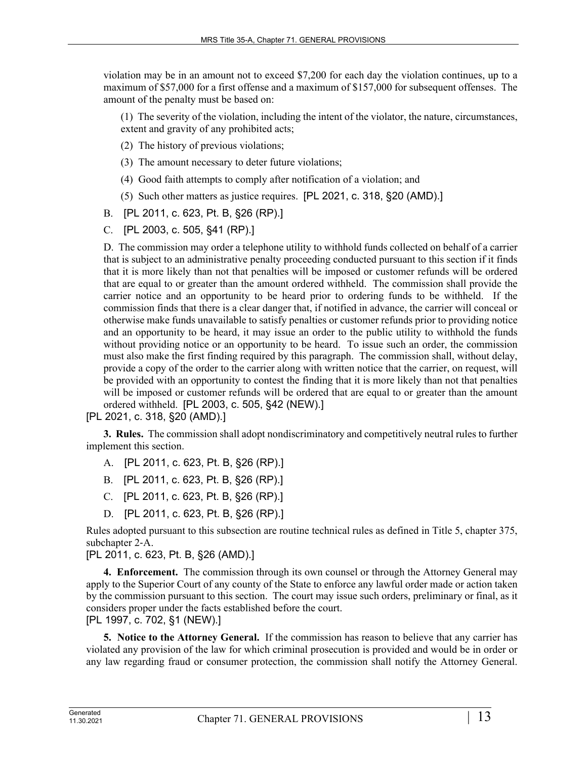violation may be in an amount not to exceed \$7,200 for each day the violation continues, up to a maximum of \$57,000 for a first offense and a maximum of \$157,000 for subsequent offenses. The amount of the penalty must be based on:

(1) The severity of the violation, including the intent of the violator, the nature, circumstances, extent and gravity of any prohibited acts;

- (2) The history of previous violations;
- (3) The amount necessary to deter future violations;
- (4) Good faith attempts to comply after notification of a violation; and
- (5) Such other matters as justice requires. [PL 2021, c. 318, §20 (AMD).]
- B. [PL 2011, c. 623, Pt. B, §26 (RP).]
- C. [PL 2003, c. 505, §41 (RP).]

D. The commission may order a telephone utility to withhold funds collected on behalf of a carrier that is subject to an administrative penalty proceeding conducted pursuant to this section if it finds that it is more likely than not that penalties will be imposed or customer refunds will be ordered that are equal to or greater than the amount ordered withheld. The commission shall provide the carrier notice and an opportunity to be heard prior to ordering funds to be withheld. If the commission finds that there is a clear danger that, if notified in advance, the carrier will conceal or otherwise make funds unavailable to satisfy penalties or customer refunds prior to providing notice and an opportunity to be heard, it may issue an order to the public utility to withhold the funds without providing notice or an opportunity to be heard. To issue such an order, the commission must also make the first finding required by this paragraph. The commission shall, without delay, provide a copy of the order to the carrier along with written notice that the carrier, on request, will be provided with an opportunity to contest the finding that it is more likely than not that penalties will be imposed or customer refunds will be ordered that are equal to or greater than the amount ordered withheld. [PL 2003, c. 505, §42 (NEW).]

[PL 2021, c. 318, §20 (AMD).]

**3. Rules.** The commission shall adopt nondiscriminatory and competitively neutral rules to further implement this section.

- A. [PL 2011, c. 623, Pt. B, §26 (RP).]
- B. [PL 2011, c. 623, Pt. B, §26 (RP).]
- C. [PL 2011, c. 623, Pt. B, §26 (RP).]
- D. [PL 2011, c. 623, Pt. B, §26 (RP).]

Rules adopted pursuant to this subsection are routine technical rules as defined in Title 5, chapter 375, subchapter 2‑A.

[PL 2011, c. 623, Pt. B, §26 (AMD).]

**4. Enforcement.** The commission through its own counsel or through the Attorney General may apply to the Superior Court of any county of the State to enforce any lawful order made or action taken by the commission pursuant to this section. The court may issue such orders, preliminary or final, as it considers proper under the facts established before the court.

[PL 1997, c. 702, §1 (NEW).]

**5. Notice to the Attorney General.** If the commission has reason to believe that any carrier has violated any provision of the law for which criminal prosecution is provided and would be in order or any law regarding fraud or consumer protection, the commission shall notify the Attorney General.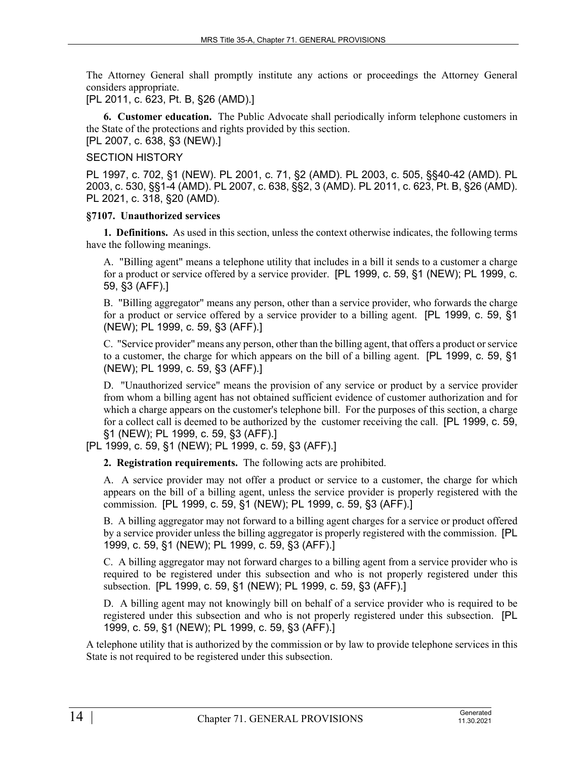The Attorney General shall promptly institute any actions or proceedings the Attorney General considers appropriate.

[PL 2011, c. 623, Pt. B, §26 (AMD).]

**6. Customer education.** The Public Advocate shall periodically inform telephone customers in the State of the protections and rights provided by this section.

[PL 2007, c. 638, §3 (NEW).]

### SECTION HISTORY

PL 1997, c. 702, §1 (NEW). PL 2001, c. 71, §2 (AMD). PL 2003, c. 505, §§40-42 (AMD). PL 2003, c. 530, §§1-4 (AMD). PL 2007, c. 638, §§2, 3 (AMD). PL 2011, c. 623, Pt. B, §26 (AMD). PL 2021, c. 318, §20 (AMD).

#### **§7107. Unauthorized services**

**1. Definitions.** As used in this section, unless the context otherwise indicates, the following terms have the following meanings.

A. "Billing agent" means a telephone utility that includes in a bill it sends to a customer a charge for a product or service offered by a service provider. [PL 1999, c. 59, §1 (NEW); PL 1999, c. 59, §3 (AFF).]

B. "Billing aggregator" means any person, other than a service provider, who forwards the charge for a product or service offered by a service provider to a billing agent. [PL 1999, c. 59, §1 (NEW); PL 1999, c. 59, §3 (AFF).]

C. "Service provider" means any person, other than the billing agent, that offers a product or service to a customer, the charge for which appears on the bill of a billing agent. [PL 1999, c. 59, §1 (NEW); PL 1999, c. 59, §3 (AFF).]

D. "Unauthorized service" means the provision of any service or product by a service provider from whom a billing agent has not obtained sufficient evidence of customer authorization and for which a charge appears on the customer's telephone bill. For the purposes of this section, a charge for a collect call is deemed to be authorized by the customer receiving the call. [PL 1999, c. 59, §1 (NEW); PL 1999, c. 59, §3 (AFF).]

[PL 1999, c. 59, §1 (NEW); PL 1999, c. 59, §3 (AFF).]

**2. Registration requirements.** The following acts are prohibited.

A. A service provider may not offer a product or service to a customer, the charge for which appears on the bill of a billing agent, unless the service provider is properly registered with the commission. [PL 1999, c. 59, §1 (NEW); PL 1999, c. 59, §3 (AFF).]

B. A billing aggregator may not forward to a billing agent charges for a service or product offered by a service provider unless the billing aggregator is properly registered with the commission. [PL 1999, c. 59, §1 (NEW); PL 1999, c. 59, §3 (AFF).]

C. A billing aggregator may not forward charges to a billing agent from a service provider who is required to be registered under this subsection and who is not properly registered under this subsection. [PL 1999, c. 59, §1 (NEW); PL 1999, c. 59, §3 (AFF).]

D. A billing agent may not knowingly bill on behalf of a service provider who is required to be registered under this subsection and who is not properly registered under this subsection. [PL 1999, c. 59, §1 (NEW); PL 1999, c. 59, §3 (AFF).]

A telephone utility that is authorized by the commission or by law to provide telephone services in this State is not required to be registered under this subsection.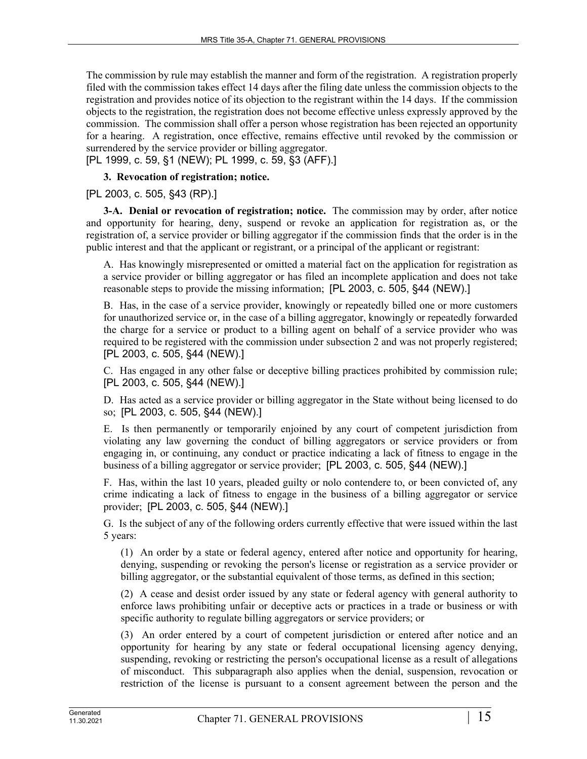The commission by rule may establish the manner and form of the registration. A registration properly filed with the commission takes effect 14 days after the filing date unless the commission objects to the registration and provides notice of its objection to the registrant within the 14 days. If the commission objects to the registration, the registration does not become effective unless expressly approved by the commission. The commission shall offer a person whose registration has been rejected an opportunity for a hearing. A registration, once effective, remains effective until revoked by the commission or surrendered by the service provider or billing aggregator.

[PL 1999, c. 59, §1 (NEW); PL 1999, c. 59, §3 (AFF).]

**3. Revocation of registration; notice.** 

[PL 2003, c. 505, §43 (RP).]

**3-A. Denial or revocation of registration; notice.** The commission may by order, after notice and opportunity for hearing, deny, suspend or revoke an application for registration as, or the registration of, a service provider or billing aggregator if the commission finds that the order is in the public interest and that the applicant or registrant, or a principal of the applicant or registrant:

A. Has knowingly misrepresented or omitted a material fact on the application for registration as a service provider or billing aggregator or has filed an incomplete application and does not take reasonable steps to provide the missing information; [PL 2003, c. 505, §44 (NEW).]

B. Has, in the case of a service provider, knowingly or repeatedly billed one or more customers for unauthorized service or, in the case of a billing aggregator, knowingly or repeatedly forwarded the charge for a service or product to a billing agent on behalf of a service provider who was required to be registered with the commission under subsection 2 and was not properly registered; [PL 2003, c. 505, §44 (NEW).]

C. Has engaged in any other false or deceptive billing practices prohibited by commission rule; [PL 2003, c. 505, §44 (NEW).]

D. Has acted as a service provider or billing aggregator in the State without being licensed to do so; [PL 2003, c. 505, §44 (NEW).]

E. Is then permanently or temporarily enjoined by any court of competent jurisdiction from violating any law governing the conduct of billing aggregators or service providers or from engaging in, or continuing, any conduct or practice indicating a lack of fitness to engage in the business of a billing aggregator or service provider; [PL 2003, c. 505, §44 (NEW).]

F. Has, within the last 10 years, pleaded guilty or nolo contendere to, or been convicted of, any crime indicating a lack of fitness to engage in the business of a billing aggregator or service provider; [PL 2003, c. 505, §44 (NEW).]

G. Is the subject of any of the following orders currently effective that were issued within the last 5 years:

(1) An order by a state or federal agency, entered after notice and opportunity for hearing, denying, suspending or revoking the person's license or registration as a service provider or billing aggregator, or the substantial equivalent of those terms, as defined in this section;

(2) A cease and desist order issued by any state or federal agency with general authority to enforce laws prohibiting unfair or deceptive acts or practices in a trade or business or with specific authority to regulate billing aggregators or service providers; or

(3) An order entered by a court of competent jurisdiction or entered after notice and an opportunity for hearing by any state or federal occupational licensing agency denying, suspending, revoking or restricting the person's occupational license as a result of allegations of misconduct. This subparagraph also applies when the denial, suspension, revocation or restriction of the license is pursuant to a consent agreement between the person and the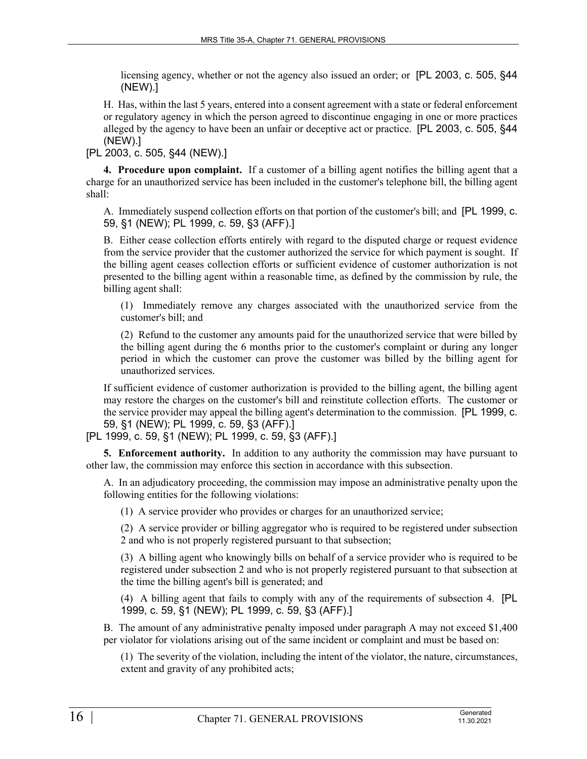licensing agency, whether or not the agency also issued an order; or [PL 2003, c. 505, §44 (NEW).]

H. Has, within the last 5 years, entered into a consent agreement with a state or federal enforcement or regulatory agency in which the person agreed to discontinue engaging in one or more practices alleged by the agency to have been an unfair or deceptive act or practice. [PL 2003, c. 505, §44 (NEW).]

[PL 2003, c. 505, §44 (NEW).]

**4. Procedure upon complaint.** If a customer of a billing agent notifies the billing agent that a charge for an unauthorized service has been included in the customer's telephone bill, the billing agent shall:

A. Immediately suspend collection efforts on that portion of the customer's bill; and [PL 1999, c. 59, §1 (NEW); PL 1999, c. 59, §3 (AFF).]

B. Either cease collection efforts entirely with regard to the disputed charge or request evidence from the service provider that the customer authorized the service for which payment is sought. If the billing agent ceases collection efforts or sufficient evidence of customer authorization is not presented to the billing agent within a reasonable time, as defined by the commission by rule, the billing agent shall:

(1) Immediately remove any charges associated with the unauthorized service from the customer's bill; and

(2) Refund to the customer any amounts paid for the unauthorized service that were billed by the billing agent during the 6 months prior to the customer's complaint or during any longer period in which the customer can prove the customer was billed by the billing agent for unauthorized services.

If sufficient evidence of customer authorization is provided to the billing agent, the billing agent may restore the charges on the customer's bill and reinstitute collection efforts. The customer or the service provider may appeal the billing agent's determination to the commission. [PL 1999, c. 59, §1 (NEW); PL 1999, c. 59, §3 (AFF).]

[PL 1999, c. 59, §1 (NEW); PL 1999, c. 59, §3 (AFF).]

**5. Enforcement authority.** In addition to any authority the commission may have pursuant to other law, the commission may enforce this section in accordance with this subsection.

A. In an adjudicatory proceeding, the commission may impose an administrative penalty upon the following entities for the following violations:

(1) A service provider who provides or charges for an unauthorized service;

(2) A service provider or billing aggregator who is required to be registered under subsection 2 and who is not properly registered pursuant to that subsection;

(3) A billing agent who knowingly bills on behalf of a service provider who is required to be registered under subsection 2 and who is not properly registered pursuant to that subsection at the time the billing agent's bill is generated; and

(4) A billing agent that fails to comply with any of the requirements of subsection 4. [PL 1999, c. 59, §1 (NEW); PL 1999, c. 59, §3 (AFF).]

B. The amount of any administrative penalty imposed under paragraph A may not exceed \$1,400 per violator for violations arising out of the same incident or complaint and must be based on:

(1) The severity of the violation, including the intent of the violator, the nature, circumstances, extent and gravity of any prohibited acts;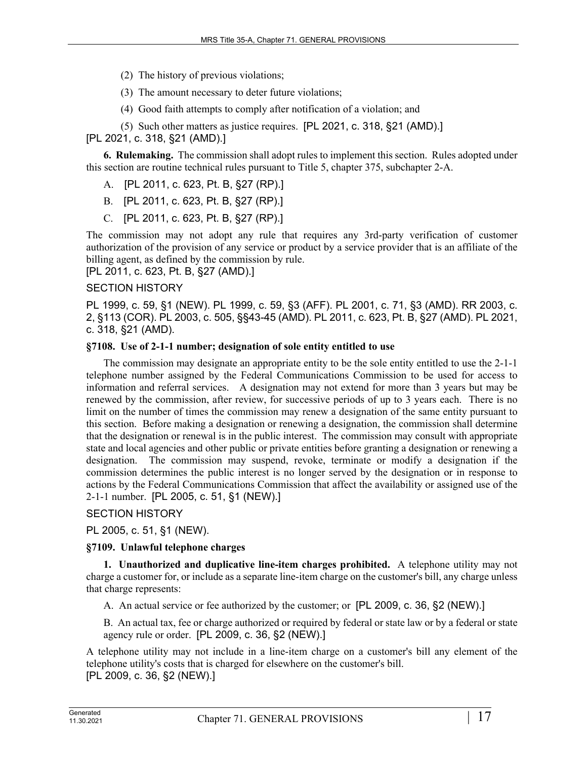- (2) The history of previous violations;
- (3) The amount necessary to deter future violations;
- (4) Good faith attempts to comply after notification of a violation; and
- (5) Such other matters as justice requires. [PL 2021, c. 318, §21 (AMD).]

[PL 2021, c. 318, §21 (AMD).]

**6. Rulemaking.** The commission shall adopt rules to implement this section. Rules adopted under this section are routine technical rules pursuant to Title 5, chapter 375, subchapter 2-A.

- A. [PL 2011, c. 623, Pt. B, §27 (RP).]
- B. [PL 2011, c. 623, Pt. B, §27 (RP).]
- C. [PL 2011, c. 623, Pt. B, §27 (RP).]

The commission may not adopt any rule that requires any 3rd-party verification of customer authorization of the provision of any service or product by a service provider that is an affiliate of the billing agent, as defined by the commission by rule.

[PL 2011, c. 623, Pt. B, §27 (AMD).]

#### SECTION HISTORY

PL 1999, c. 59, §1 (NEW). PL 1999, c. 59, §3 (AFF). PL 2001, c. 71, §3 (AMD). RR 2003, c. 2, §113 (COR). PL 2003, c. 505, §§43-45 (AMD). PL 2011, c. 623, Pt. B, §27 (AMD). PL 2021, c. 318, §21 (AMD).

#### **§7108. Use of 2-1-1 number; designation of sole entity entitled to use**

The commission may designate an appropriate entity to be the sole entity entitled to use the 2-1-1 telephone number assigned by the Federal Communications Commission to be used for access to information and referral services. A designation may not extend for more than 3 years but may be renewed by the commission, after review, for successive periods of up to 3 years each. There is no limit on the number of times the commission may renew a designation of the same entity pursuant to this section. Before making a designation or renewing a designation, the commission shall determine that the designation or renewal is in the public interest. The commission may consult with appropriate state and local agencies and other public or private entities before granting a designation or renewing a designation. The commission may suspend, revoke, terminate or modify a designation if the commission determines the public interest is no longer served by the designation or in response to actions by the Federal Communications Commission that affect the availability or assigned use of the 2-1-1 number. [PL 2005, c. 51, §1 (NEW).]

#### SECTION HISTORY

PL 2005, c. 51, §1 (NEW).

#### **§7109. Unlawful telephone charges**

**1. Unauthorized and duplicative line-item charges prohibited.** A telephone utility may not charge a customer for, or include as a separate line-item charge on the customer's bill, any charge unless that charge represents:

A. An actual service or fee authorized by the customer; or [PL 2009, c. 36, §2 (NEW).]

B. An actual tax, fee or charge authorized or required by federal or state law or by a federal or state agency rule or order. [PL 2009, c. 36, §2 (NEW).]

A telephone utility may not include in a line-item charge on a customer's bill any element of the telephone utility's costs that is charged for elsewhere on the customer's bill. [PL 2009, c. 36, §2 (NEW).]